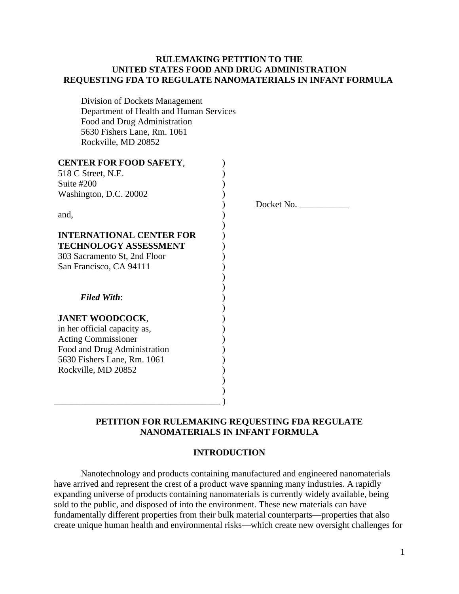### **RULEMAKING PETITION TO THE UNITED STATES FOOD AND DRUG ADMINISTRATION REQUESTING FDA TO REGULATE NANOMATERIALS IN INFANT FORMULA**

Division of Dockets Management Department of Health and Human Services Food and Drug Administration 5630 Fishers Lane, Rm. 1061 Rockville, MD 20852

| <b>CENTER FOR FOOD SAFETY,</b><br>518 C Street, N.E.<br>Suite $#200$<br>Washington, D.C. 20002<br>and, | Docket No. |
|--------------------------------------------------------------------------------------------------------|------------|
|                                                                                                        |            |
| <b>INTERNATIONAL CENTER FOR</b>                                                                        |            |
| <b>TECHNOLOGY ASSESSMENT</b>                                                                           |            |
| 303 Sacramento St, 2nd Floor                                                                           |            |
| San Francisco, CA 94111                                                                                |            |
|                                                                                                        |            |
|                                                                                                        |            |
| <b>Filed With:</b>                                                                                     |            |
|                                                                                                        |            |
| <b>JANET WOODCOCK,</b>                                                                                 |            |
| in her official capacity as,                                                                           |            |
| <b>Acting Commissioner</b>                                                                             |            |
| Food and Drug Administration                                                                           |            |
| 5630 Fishers Lane, Rm. 1061                                                                            |            |
| Rockville, MD 20852                                                                                    |            |
|                                                                                                        |            |
|                                                                                                        |            |
|                                                                                                        |            |

# **PETITION FOR RULEMAKING REQUESTING FDA REGULATE NANOMATERIALS IN INFANT FORMULA**

#### **INTRODUCTION**

Nanotechnology and products containing manufactured and engineered nanomaterials have arrived and represent the crest of a product wave spanning many industries. A rapidly expanding universe of products containing nanomaterials is currently widely available, being sold to the public, and disposed of into the environment. These new materials can have fundamentally different properties from their bulk material counterparts—properties that also create unique human health and environmental risks—which create new oversight challenges for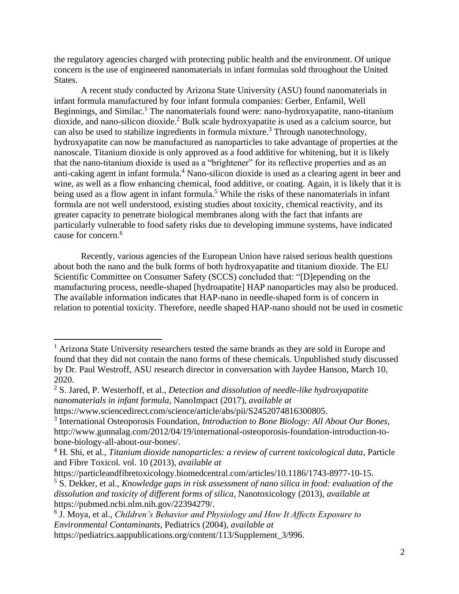the regulatory agencies charged with protecting public health and the environment. Of unique concern is the use of engineered nanomaterials in infant formulas sold throughout the United States.

A recent study conducted by Arizona State University (ASU) found nanomaterials in infant formula manufactured by four infant formula companies: Gerber, Enfamil, Well Beginnings, and Similac.<sup>1</sup> The nanomaterials found were: nano-hydroxyapatite, nano-titanium dioxide, and nano-silicon dioxide.<sup>2</sup> Bulk scale hydroxyapatite is used as a calcium source, but can also be used to stabilize ingredients in formula mixture.<sup>3</sup> Through nanotechnology, hydroxyapatite can now be manufactured as nanoparticles to take advantage of properties at the nanoscale. Titanium dioxide is only approved as a food additive for whitening, but it is likely that the nano-titanium dioxide is used as a "brightener" for its reflective properties and as an anti-caking agent in infant formula.<sup>4</sup> Nano-silicon dioxide is used as a clearing agent in beer and wine, as well as a flow enhancing chemical, food additive, or coating. Again, it is likely that it is being used as a flow agent in infant formula.<sup>5</sup> While the risks of these nanomaterials in infant formula are not well understood, existing studies about toxicity, chemical reactivity, and its greater capacity to penetrate biological membranes along with the fact that infants are particularly vulnerable to food safety risks due to developing immune systems, have indicated cause for concern.<sup>6</sup>

Recently, various agencies of the European Union have raised serious health questions about both the nano and the bulk forms of both hydroxyapatite and titanium dioxide. The EU Scientific Committee on Consumer Safety (SCCS) concluded that: "[D]epending on the manufacturing process, needle-shaped [hydroapatite] HAP nanoparticles may also be produced. The available information indicates that HAP-nano in needle-shaped form is of concern in relation to potential toxicity. Therefore, needle shaped HAP-nano should not be used in cosmetic

<sup>&</sup>lt;sup>1</sup> Arizona State University researchers tested the same brands as they are sold in Europe and found that they did not contain the nano forms of these chemicals. Unpublished study discussed by Dr. Paul Westroff, ASU research director in conversation with Jaydee Hanson, March 10, 2020.

<sup>2</sup> S. Jared, P. Westerhoff, et al., *Detection and dissolution of needle-like hydroxyapatite nanomaterials in infant formula*, NanoImpact (2017), *available at* 

[https://www.sciencedirect.com/science/article/abs/pii/S2452074816300805.](https://www.sciencedirect.com/science/article/abs/pii/S2452074816300805)

<sup>3</sup> International Osteoporosis Foundation, *Introduction to Bone Biology: All About Our Bones*, http://www.gunnalag.com/2012/04/19/international-osteoporosis-foundation-introduction-tobone-biology-all-about-our-bones/.

<sup>4</sup> H. Shi, et al., *Titanium dioxide nanoparticles: a review of current toxicological data*, Particle and Fibre Toxicol. vol. 10 (2013), *available at*

[https://particleandfibretoxicology.biomedcentral.com/articles/10.1186/1743-8977-10-15.](https://particleandfibretoxicology.biomedcentral.com/articles/10.1186/1743-8977-10-15)

<sup>5</sup> S. Dekker, et al., *Knowledge gaps in risk assessment of nano silica in food: evaluation of the dissolution and toxicity of different forms of silica,* Nanotoxicology (2013), *available at*  [https://pubmed.ncbi.nlm.nih.gov/22394279/.](https://pubmed.ncbi.nlm.nih.gov/22394279/)

<sup>6</sup> J. Moya, et al., *Children's Behavior and Physiology and How It Affects Exposure to Environmental Contaminants,* Pediatrics (2004), *available at* 

[https://pediatrics.aappublications.org/content/113/Supplement\\_3/996.](https://pediatrics.aappublications.org/content/113/Supplement_3/996)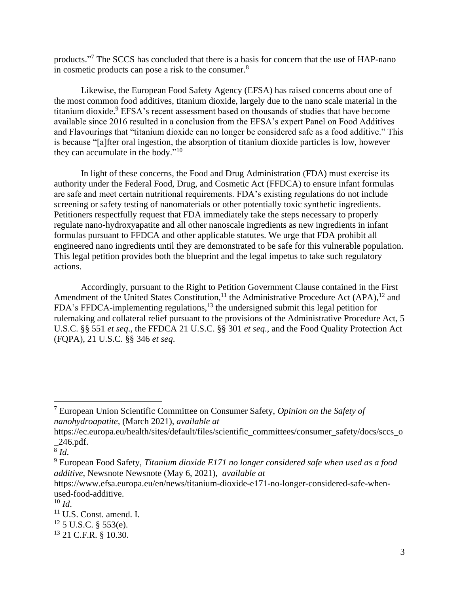products."<sup>7</sup> The SCCS has concluded that there is a basis for concern that the use of HAP-nano in cosmetic products can pose a risk to the consumer.<sup>8</sup>

Likewise, the European Food Safety Agency (EFSA) has raised concerns about one of the most common food additives, titanium dioxide, largely due to the nano scale material in the titanium dioxide.<sup>9</sup> EFSA's recent assessment based on thousands of studies that have become available since 2016 resulted in a conclusion from the EFSA's expert Panel on Food Additives and Flavourings that "titanium dioxide can no longer be considered safe as a food additive." This is because "[a]fter oral ingestion, the absorption of titanium dioxide particles is low, however they can accumulate in the body."<sup>10</sup>

In light of these concerns, the Food and Drug Administration (FDA) must exercise its authority under the Federal Food, Drug, and Cosmetic Act (FFDCA) to ensure infant formulas are safe and meet certain nutritional requirements. FDA's existing regulations do not include screening or safety testing of nanomaterials or other potentially toxic synthetic ingredients. Petitioners respectfully request that FDA immediately take the steps necessary to properly regulate nano-hydroxyapatite and all other nanoscale ingredients as new ingredients in infant formulas pursuant to FFDCA and other applicable statutes. We urge that FDA prohibit all engineered nano ingredients until they are demonstrated to be safe for this vulnerable population. This legal petition provides both the blueprint and the legal impetus to take such regulatory actions.

Accordingly, pursuant to the Right to Petition Government Clause contained in the First Amendment of the United States Constitution,<sup>11</sup> the Administrative Procedure Act (APA),<sup>12</sup> and FDA's FFDCA-implementing regulations,<sup>13</sup> the undersigned submit this legal petition for rulemaking and collateral relief pursuant to the provisions of the Administrative Procedure Act, 5 U.S.C. §§ 551 *et seq*., the FFDCA 21 U.S.C. §§ 301 *et seq*., and the Food Quality Protection Act (FQPA), 21 U.S.C. §§ 346 *et seq*.

[https://www.efsa.europa.eu/en/news/titanium-dioxide-e171-no-longer-considered-safe-when](https://www.efsa.europa.eu/en/news/titanium-dioxide-e171-no-longer-considered-safe-when-used-food-additive)[used-food-additive.](https://www.efsa.europa.eu/en/news/titanium-dioxide-e171-no-longer-considered-safe-when-used-food-additive)

<sup>7</sup> European Union Scientific Committee on Consumer Safety, *Opinion on the Safety of nanohydroapatite,* (March 2021), *available at* 

[https://ec.europa.eu/health/sites/default/files/scientific\\_committees/consumer\\_safety/docs/sccs\\_o](https://ec.europa.eu/health/sites/default/files/scientific_committees/consumer_safety/docs/sccs_o_246.pdf) [\\_246.pdf.](https://ec.europa.eu/health/sites/default/files/scientific_committees/consumer_safety/docs/sccs_o_246.pdf)

<sup>8</sup> *Id*.

<sup>9</sup> European Food Safety, *Titanium dioxide E171 no longer considered safe when used as a food additive*, Newsnote Newsnote (May 6, 2021), *available at* 

 $10 \, Id.$ 

 $11$  U.S. Const. amend. I.

 $12$  5 U.S.C. § 553(e).

<sup>13</sup> 21 C.F.R. § 10.30.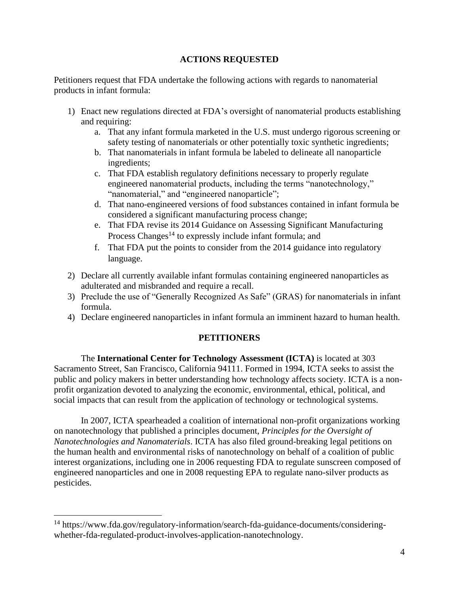# **ACTIONS REQUESTED**

Petitioners request that FDA undertake the following actions with regards to nanomaterial products in infant formula:

- 1) Enact new regulations directed at FDA's oversight of nanomaterial products establishing and requiring:
	- a. That any infant formula marketed in the U.S. must undergo rigorous screening or safety testing of nanomaterials or other potentially toxic synthetic ingredients;
	- b. That nanomaterials in infant formula be labeled to delineate all nanoparticle ingredients;
	- c. That FDA establish regulatory definitions necessary to properly regulate engineered nanomaterial products, including the terms "nanotechnology," "nanomaterial," and "engineered nanoparticle";
	- d. That nano-engineered versions of food substances contained in infant formula be considered a significant manufacturing process change;
	- e. That FDA revise its 2014 Guidance on Assessing Significant Manufacturing Process Changes<sup>14</sup> to expressly include infant formula; and
	- f. That FDA put the points to consider from the 2014 guidance into regulatory language.
- 2) Declare all currently available infant formulas containing engineered nanoparticles as adulterated and misbranded and require a recall.
- 3) Preclude the use of "Generally Recognized As Safe" (GRAS) for nanomaterials in infant formula.
- 4) Declare engineered nanoparticles in infant formula an imminent hazard to human health.

# **PETITIONERS**

The **International Center for Technology Assessment (ICTA)** is located at 303 Sacramento Street, San Francisco, California 94111. Formed in 1994, ICTA seeks to assist the public and policy makers in better understanding how technology affects society. ICTA is a nonprofit organization devoted to analyzing the economic, environmental, ethical, political, and social impacts that can result from the application of technology or technological systems.

In 2007, ICTA spearheaded a coalition of international non-profit organizations working on nanotechnology that published a principles document, *Principles for the Oversight of Nanotechnologies and Nanomaterials*. ICTA has also filed ground-breaking legal petitions on the human health and environmental risks of nanotechnology on behalf of a coalition of public interest organizations, including one in 2006 requesting FDA to regulate sunscreen composed of engineered nanoparticles and one in 2008 requesting EPA to regulate nano-silver products as pesticides.

<sup>&</sup>lt;sup>14</sup> https://www.fda.gov/regulatory-information/search-fda-guidance-documents/consideringwhether-fda-regulated-product-involves-application-nanotechnology.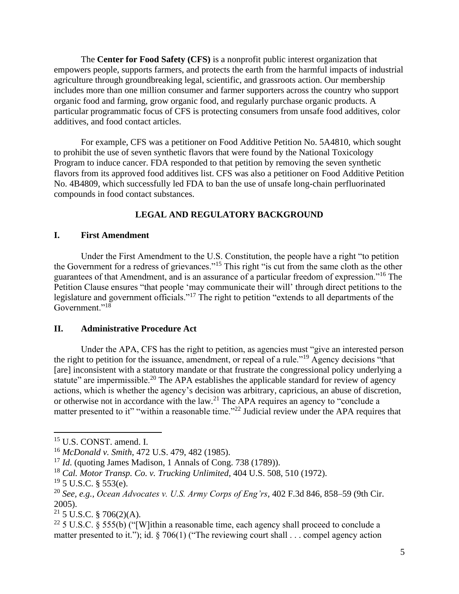The **Center for Food Safety (CFS)** is a nonprofit public interest organization that empowers people, supports farmers, and protects the earth from the harmful impacts of industrial agriculture through groundbreaking legal, scientific, and grassroots action. Our membership includes more than one million consumer and farmer supporters across the country who support organic food and farming, grow organic food, and regularly purchase organic products. A particular programmatic focus of CFS is protecting consumers from unsafe food additives, color additives, and food contact articles.

For example, CFS was a petitioner on Food Additive Petition No. 5A4810, which sought to prohibit the use of seven synthetic flavors that were found by the National Toxicology Program to induce cancer. FDA responded to that petition by removing the seven synthetic flavors from its approved food additives list. CFS was also a petitioner on Food Additive Petition No. 4B4809, which successfully led FDA to ban the use of unsafe long-chain perfluorinated compounds in food contact substances.

### **LEGAL AND REGULATORY BACKGROUND**

### **I. First Amendment**

Under the First Amendment to the U.S. Constitution, the people have a right "to petition the Government for a redress of grievances."<sup>15</sup> This right "is cut from the same cloth as the other guarantees of that Amendment, and is an assurance of a particular freedom of expression."<sup>16</sup> The Petition Clause ensures "that people 'may communicate their will' through direct petitions to the legislature and government officials."<sup>17</sup> The right to petition "extends to all departments of the Government."<sup>18</sup>

### **II. Administrative Procedure Act**

Under the APA, CFS has the right to petition, as agencies must "give an interested person the right to petition for the issuance, amendment, or repeal of a rule."<sup>19</sup> Agency decisions "that [are] inconsistent with a statutory mandate or that frustrate the congressional policy underlying a statute" are impermissible.<sup>20</sup> The APA establishes the applicable standard for review of agency actions, which is whether the agency's decision was arbitrary, capricious, an abuse of discretion, or otherwise not in accordance with the law.<sup>21</sup> The APA requires an agency to "conclude a matter presented to it" "within a reasonable time."<sup>22</sup> Judicial review under the APA requires that

<sup>15</sup> U.S. CONST. amend. I.

<sup>16</sup> *McDonald v. Smith*, 472 U.S. 479, 482 (1985).

<sup>&</sup>lt;sup>17</sup> *Id.* (quoting James Madison, 1 Annals of Cong. 738 (1789)).

<sup>18</sup> *Cal. Motor Transp. Co. v. Trucking Unlimited*, 404 U.S. 508, 510 (1972).

 $19\,$  5 U.S.C. § 553(e).

<sup>20</sup> *See, e.g., Ocean Advocates v. U.S. Army Corps of Eng'rs*, 402 F.3d 846, 858–59 (9th Cir. 2005).

 $21$  5 U.S.C. § 706(2)(A).

<sup>&</sup>lt;sup>22</sup> 5 U.S.C. § 555(b) ("[W]ithin a reasonable time, each agency shall proceed to conclude a matter presented to it."); id. § 706(1) ("The reviewing court shall . . . compel agency action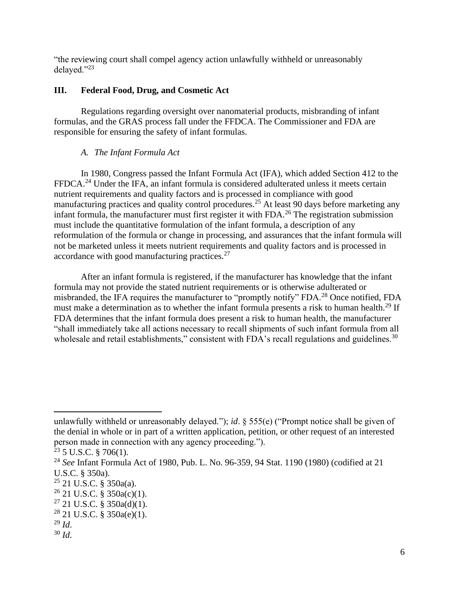"the reviewing court shall compel agency action unlawfully withheld or unreasonably delayed."<sup>23</sup>

### **III. Federal Food, Drug, and Cosmetic Act**

Regulations regarding oversight over nanomaterial products, misbranding of infant formulas, and the GRAS process fall under the FFDCA. The Commissioner and FDA are responsible for ensuring the safety of infant formulas.

### *A. The Infant Formula Act*

In 1980, Congress passed the Infant Formula Act (IFA), which added Section 412 to the FFDCA.<sup>24</sup> Under the IFA, an infant formula is considered adulterated unless it meets certain nutrient requirements and quality factors and is processed in compliance with good manufacturing practices and quality control procedures.<sup>25</sup> At least 90 days before marketing any infant formula, the manufacturer must first register it with FDA.<sup>26</sup> The registration submission must include the quantitative formulation of the infant formula, a description of any reformulation of the formula or change in processing, and assurances that the infant formula will not be marketed unless it meets nutrient requirements and quality factors and is processed in accordance with good manufacturing practices.<sup>27</sup>

After an infant formula is registered, if the manufacturer has knowledge that the infant formula may not provide the stated nutrient requirements or is otherwise adulterated or misbranded, the IFA requires the manufacturer to "promptly notify" FDA.<sup>28</sup> Once notified, FDA must make a determination as to whether the infant formula presents a risk to human health.<sup>29</sup> If FDA determines that the infant formula does present a risk to human health, the manufacturer "shall immediately take all actions necessary to recall shipments of such infant formula from all wholesale and retail establishments," consistent with FDA's recall regulations and guidelines.<sup>30</sup>

unlawfully withheld or unreasonably delayed."); *id*. § 555(e) ("Prompt notice shall be given of the denial in whole or in part of a written application, petition, or other request of an interested person made in connection with any agency proceeding.").

 $^{23}$  5 U.S.C. § 706(1).

<sup>24</sup> *See* Infant Formula Act of 1980, Pub. L. No. 96-359, 94 Stat. 1190 (1980) (codified at 21 U.S.C. § 350a).

 $25$  21 U.S.C. § 350a(a).

 $26$  21 U.S.C. § 350a(c)(1).

 $27$  21 U.S.C. § 350a(d)(1).

 $28$  21 U.S.C. § 350a(e)(1).

<sup>29</sup> *Id*.

 $30$  *Id.*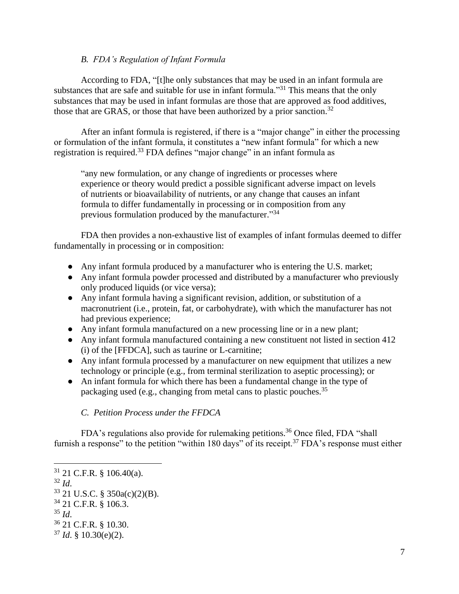### *B. FDA's Regulation of Infant Formula*

According to FDA, "[t]he only substances that may be used in an infant formula are substances that are safe and suitable for use in infant formula."<sup>31</sup> This means that the only substances that may be used in infant formulas are those that are approved as food additives, those that are GRAS, or those that have been authorized by a prior sanction.<sup>32</sup>

After an infant formula is registered, if there is a "major change" in either the processing or formulation of the infant formula, it constitutes a "new infant formula" for which a new registration is required.<sup>33</sup> FDA defines "major change" in an infant formula as

"any new formulation, or any change of ingredients or processes where experience or theory would predict a possible significant adverse impact on levels of nutrients or bioavailability of nutrients, or any change that causes an infant formula to differ fundamentally in processing or in composition from any previous formulation produced by the manufacturer."34

FDA then provides a non-exhaustive list of examples of infant formulas deemed to differ fundamentally in processing or in composition:

- Any infant formula produced by a manufacturer who is entering the U.S. market;
- Any infant formula powder processed and distributed by a manufacturer who previously only produced liquids (or vice versa);
- Any infant formula having a significant revision, addition, or substitution of a macronutrient (i.e., protein, fat, or carbohydrate), with which the manufacturer has not had previous experience;
- Any infant formula manufactured on a new processing line or in a new plant;
- Any infant formula manufactured containing a new constituent not listed in section 412 (i) of the [FFDCA], such as taurine or L-carnitine;
- Any infant formula processed by a manufacturer on new equipment that utilizes a new technology or principle (e.g., from terminal sterilization to aseptic processing); or
- An infant formula for which there has been a fundamental change in the type of packaging used (e.g., changing from metal cans to plastic pouches.<sup>35</sup>

*C. Petition Process under the FFDCA*

FDA's regulations also provide for rulemaking petitions.<sup>36</sup> Once filed, FDA "shall furnish a response" to the petition "within 180 days" of its receipt.<sup>37</sup> FDA's response must either

<sup>31</sup> 21 C.F.R. § 106.40(a). <sup>32</sup> *Id*. <sup>33</sup> 21 U.S.C. § 350a(c)(2)(B). <sup>34</sup> 21 C.F.R. § 106.3. <sup>35</sup> *Id*. <sup>36</sup> 21 C.F.R. § 10.30.  $37$  *Id.* § 10.30(e)(2).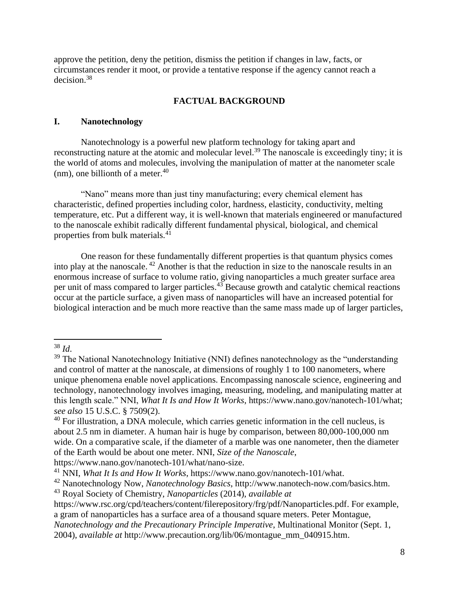approve the petition, deny the petition, dismiss the petition if changes in law, facts, or circumstances render it moot, or provide a tentative response if the agency cannot reach a decision.<sup>38</sup>

#### **FACTUAL BACKGROUND**

### **I. Nanotechnology**

Nanotechnology is a powerful new platform technology for taking apart and reconstructing nature at the atomic and molecular level.<sup>39</sup> The nanoscale is exceedingly tiny; it is the world of atoms and molecules, involving the manipulation of matter at the nanometer scale (nm), one billionth of a meter. $40$ 

"Nano" means more than just tiny manufacturing; every chemical element has characteristic, defined properties including color, hardness, elasticity, conductivity, melting temperature, etc. Put a different way, it is well-known that materials engineered or manufactured to the nanoscale exhibit radically different fundamental physical, biological, and chemical properties from bulk materials.<sup>41</sup>

One reason for these fundamentally different properties is that quantum physics comes into play at the nanoscale. <sup>42</sup> Another is that the reduction in size to the nanoscale results in an enormous increase of surface to volume ratio, giving nanoparticles a much greater surface area per unit of mass compared to larger particles.<sup>43</sup> Because growth and catalytic chemical reactions occur at the particle surface, a given mass of nanoparticles will have an increased potential for biological interaction and be much more reactive than the same mass made up of larger particles,

[https://www.nano.gov/nanotech-101/what/nano-size.](https://www.nano.gov/nanotech-101/what/nano-size)

<sup>42</sup> Nanotechnology Now, *Nanotechnology Basics*, [http://www.nanotech-now.com/basics.htm.](http://www.nanotech-now.com/basics.htm)

<sup>38</sup> *Id*.

 $39$  The National Nanotechnology Initiative (NNI) defines nanotechnology as the "understanding" and control of matter at the nanoscale, at dimensions of roughly 1 to 100 nanometers, where unique phenomena enable novel applications. Encompassing nanoscale science, engineering and technology, nanotechnology involves imaging, measuring, modeling, and manipulating matter at this length scale." NNI, *What It Is and How It Works*, [https://www.nano.gov/nanotech-101/what;](https://www.nano.gov/nanotech-101/what) *see also* 15 U.S.C. § 7509(2).

 $40$  For illustration, a DNA molecule, which carries genetic information in the cell nucleus, is about 2.5 nm in diameter. A human hair is huge by comparison, between 80,000-100,000 nm wide. On a comparative scale, if the diameter of a marble was one nanometer, then the diameter of the Earth would be about one meter. NNI, *Size of the Nanoscale*,

<sup>41</sup> NNI, *What It Is and How It Works*, [https://www.nano.gov/nanotech-101/what.](https://www.nano.gov/nanotech-101/what)

<sup>43</sup> Royal Society of Chemistry, *Nanoparticles* (2014), *available at*

[https://www.rsc.org/cpd/teachers/content/filerepository/frg/pdf/Nanoparticles.pdf.](https://www.rsc.org/cpd/teachers/content/filerepository/frg/pdf/Nanoparticles.pdf) For example, a gram of nanoparticles has a surface area of a thousand square meters. Peter Montague, *Nanotechnology and the Precautionary Principle Imperative*, Multinational Monitor (Sept. 1, 2004), *available at* [http://www.precaution.org/lib/06/montague\\_mm\\_040915.htm.](http://www.precaution.org/lib/06/montague_mm_040915.htm)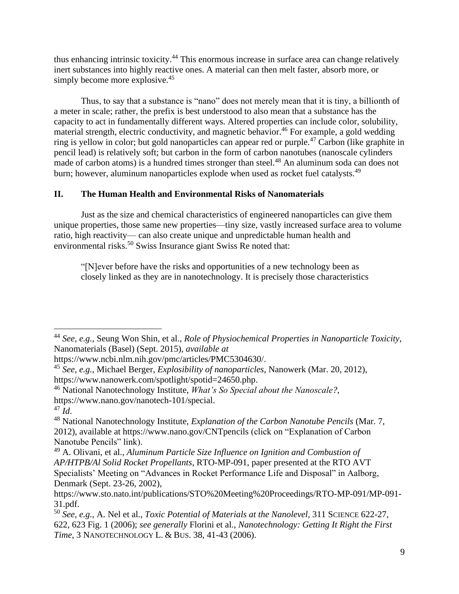thus enhancing intrinsic toxicity.<sup>44</sup> This enormous increase in surface area can change relatively inert substances into highly reactive ones. A material can then melt faster, absorb more, or simply become more explosive.<sup>45</sup>

Thus, to say that a substance is "nano" does not merely mean that it is tiny, a billionth of a meter in scale; rather, the prefix is best understood to also mean that a substance has the capacity to act in fundamentally different ways. Altered properties can include color, solubility, material strength, electric conductivity, and magnetic behavior.<sup>46</sup> For example, a gold wedding ring is yellow in color; but gold nanoparticles can appear red or purple.<sup>47</sup> Carbon (like graphite in pencil lead) is relatively soft; but carbon in the form of carbon nanotubes (nanoscale cylinders made of carbon atoms) is a hundred times stronger than steel.<sup>48</sup> An aluminum soda can does not burn; however, aluminum nanoparticles explode when used as rocket fuel catalysts.<sup>49</sup>

# **II. The Human Health and Environmental Risks of Nanomaterials**

Just as the size and chemical characteristics of engineered nanoparticles can give them unique properties, those same new properties—tiny size, vastly increased surface area to volume ratio, high reactivity— can also create unique and unpredictable human health and environmental risks.<sup>50</sup> Swiss Insurance giant Swiss Re noted that:

"[N]ever before have the risks and opportunities of a new technology been as closely linked as they are in nanotechnology. It is precisely those characteristics

<sup>44</sup> *See, e.g.*, Seung Won Shin, et al., *Role of Physiochemical Properties in Nanoparticle Toxicity*, Nanomaterials (Basel) (Sept. 2015), *available at* 

[https://www.ncbi.nlm.nih.gov/pmc/articles/PMC5304630/.](https://www.ncbi.nlm.nih.gov/pmc/articles/PMC5304630/)

<sup>45</sup> *See, e.g.*, Michael Berger, *Explosibility of nanoparticles*, Nanowerk (Mar. 20, 2012), [https://www.nanowerk.com/spotlight/spotid=24650.php.](https://www.nanowerk.com/spotlight/spotid=24650.php)

<sup>46</sup> National Nanotechnology Institute, *What's So Special about the Nanoscale?*, [https://www.nano.gov/nanotech-101/special.](https://www.nano.gov/nanotech-101/special)

 $^{47}$  *Id.* 

<sup>48</sup> National Nanotechnology Institute, *Explanation of the Carbon Nanotube Pencils* (Mar. 7, 2012), available at<https://www.nano.gov/CNTpencils> (click on "Explanation of Carbon Nanotube Pencils" link).

<sup>49</sup> A. Olivani, et al., *Aluminum Particle Size Influence on Ignition and Combustion of AP/HTPB/Al Solid Rocket Propellants*, RTO-MP-091, paper presented at the RTO AVT Specialists' Meeting on "Advances in Rocket Performance Life and Disposal" in Aalborg, Denmark (Sept. 23-26, 2002),

[https://www.sto.nato.int/publications/STO%20Meeting%20Proceedings/RTO-MP-091/MP-091-](https://www.sto.nato.int/publications/STO%20Meeting%20Proceedings/RTO-MP-091/MP-091-31.pdf) [31.pdf.](https://www.sto.nato.int/publications/STO%20Meeting%20Proceedings/RTO-MP-091/MP-091-31.pdf)

<sup>50</sup> *See, e.g.*, A. Nel et al., *Toxic Potential of Materials at the Nanolevel*, 311 SCIENCE 622-27, 622, 623 Fig. 1 (2006); *see generally* Florini et al., *Nanotechnology: Getting It Right the First Time*, 3 NANOTECHNOLOGY L. & BUS. 38, 41-43 (2006).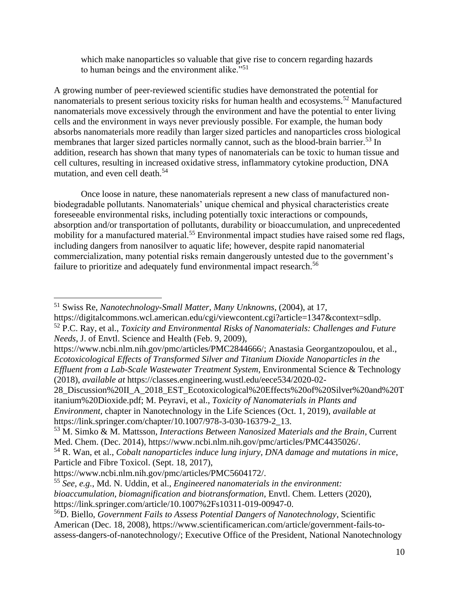which make nanoparticles so valuable that give rise to concern regarding hazards to human beings and the environment alike."<sup>51</sup>

A growing number of peer-reviewed scientific studies have demonstrated the potential for nanomaterials to present serious toxicity risks for human health and ecosystems.<sup>52</sup> Manufactured nanomaterials move excessively through the environment and have the potential to enter living cells and the environment in ways never previously possible. For example, the human body absorbs nanomaterials more readily than larger sized particles and nanoparticles cross biological membranes that larger sized particles normally cannot, such as the blood-brain barrier.<sup>53</sup> In addition, research has shown that many types of nanomaterials can be toxic to human tissue and cell cultures, resulting in increased oxidative stress, inflammatory cytokine production, DNA mutation, and even cell death.<sup>54</sup>

Once loose in nature, these nanomaterials represent a new class of manufactured nonbiodegradable pollutants. Nanomaterials' unique chemical and physical characteristics create foreseeable environmental risks, including potentially toxic interactions or compounds, absorption and/or transportation of pollutants, durability or bioaccumulation, and unprecedented mobility for a manufactured material.<sup>55</sup> Environmental impact studies have raised some red flags, including dangers from nanosilver to aquatic life; however, despite rapid nanomaterial commercialization, many potential risks remain dangerously untested due to the government's failure to prioritize and adequately fund environmental impact research.<sup>56</sup>

28\_Discussion%20II\_A\_2018\_EST\_Ecotoxicological%20Effects%20of%20Silver%20and%20T itanium%20Dioxide.pdf; M. Peyravi, et al., *Toxicity of Nanomaterials in Plants and Environment*, chapter in Nanotechnology in the Life Sciences (Oct. 1, 2019), *available at* [https://link.springer.com/chapter/10.1007/978-3-030-16379-2\\_13.](https://link.springer.com/chapter/10.1007/978-3-030-16379-2_13)

<sup>51</sup> Swiss Re, *Nanotechnology-Small Matter, Many Unknowns*, (2004), at 17, https://digitalcommons.wcl.american.edu/cgi/viewcontent.cgi?article=1347&context=sdlp.

<sup>52</sup> P.C. Ray, et al., *Toxicity and Environmental Risks of Nanomaterials: Challenges and Future Needs*, J. of Envtl. Science and Health (Feb. 9, 2009),

https://www.ncbi.nlm.nih.gov/pmc/articles/PMC2844666/; Anastasia Georgantzopoulou, et al., *Ecotoxicological Effects of Transformed Silver and Titanium Dioxide Nanoparticles in the Effluent from a Lab-Scale Wastewater Treatment System*, Environmental Science & Technology (2018), *available at* https://classes.engineering.wustl.edu/eece534/2020-02-

<sup>53</sup> M. Simko & M. Mattsson, *Interactions Between Nanosized Materials and the Brain*, Current Med. Chem. (Dec. 2014), [https://www.ncbi.nlm.nih.gov/pmc/articles/PMC4435026/.](https://www.ncbi.nlm.nih.gov/pmc/articles/PMC4435026/)

<sup>54</sup> R. Wan, et al., *Cobalt nanoparticles induce lung injury, DNA damage and mutations in mice*, Particle and Fibre Toxicol. (Sept. 18, 2017),

[https://www.ncbi.nlm.nih.gov/pmc/articles/PMC5604172/.](https://www.ncbi.nlm.nih.gov/pmc/articles/PMC5604172/)

<sup>55</sup> *See, e.g.*, Md. N. Uddin, et al., *Engineered nanomaterials in the environment: bioaccumulation, biomagnification and biotransformation*, Envtl. Chem. Letters (2020), [https://link.springer.com/article/10.1007%2Fs10311-019-00947-0.](https://link.springer.com/article/10.1007%2Fs10311-019-00947-0)

<sup>56</sup>D. Biello, *Government Fails to Assess Potential Dangers of Nanotechnology*, Scientific American (Dec. 18, 2008), [https://www.scientificamerican.com/article/government-fails-to](https://www.scientificamerican.com/article/government-fails-to-assess-dangers-of-nanotechnology/)[assess-dangers-of-nanotechnology/;](https://www.scientificamerican.com/article/government-fails-to-assess-dangers-of-nanotechnology/) Executive Office of the President, National Nanotechnology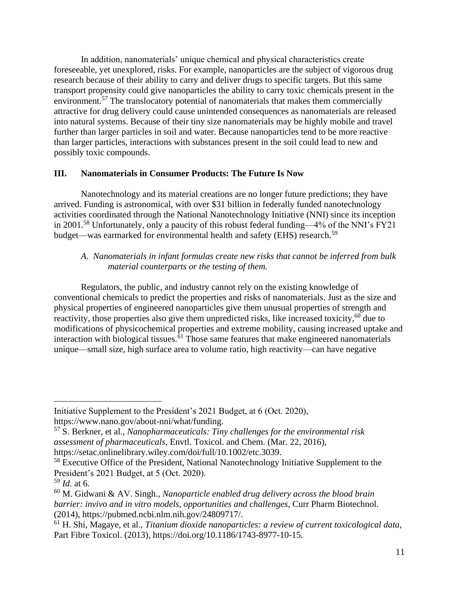In addition, nanomaterials' unique chemical and physical characteristics create foreseeable, yet unexplored, risks. For example, nanoparticles are the subject of vigorous drug research because of their ability to carry and deliver drugs to specific targets. But this same transport propensity could give nanoparticles the ability to carry toxic chemicals present in the environment.<sup>57</sup> The translocatory potential of nanomaterials that makes them commercially attractive for drug delivery could cause unintended consequences as nanomaterials are released into natural systems. Because of their tiny size nanomaterials may be highly mobile and travel further than larger particles in soil and water. Because nanoparticles tend to be more reactive than larger particles, interactions with substances present in the soil could lead to new and possibly toxic compounds.

### **III. Nanomaterials in Consumer Products: The Future Is Now**

Nanotechnology and its material creations are no longer future predictions; they have arrived. Funding is astronomical, with over \$31 billion in federally funded nanotechnology activities coordinated through the National Nanotechnology Initiative (NNI) since its inception in 2001.<sup>58</sup> Unfortunately, only a paucity of this robust federal funding—4% of the NNI's FY21 budget—was earmarked for environmental health and safety (EHS) research.<sup>59</sup>

# *A*. *Nanomaterials in infant formulas create new risks that cannot be inferred from bulk material counterparts or the testing of them.*

Regulators, the public, and industry cannot rely on the existing knowledge of conventional chemicals to predict the properties and risks of nanomaterials. Just as the size and physical properties of engineered nanoparticles give them unusual properties of strength and reactivity, those properties also give them unpredicted risks, like increased toxicity,<sup>60</sup> due to modifications of physicochemical properties and extreme mobility, causing increased uptake and interaction with biological tissues. $61$  Those same features that make engineered nanomaterials unique—small size, high surface area to volume ratio, high reactivity—can have negative

Initiative Supplement to the President's 2021 Budget, at 6 (Oct. 2020), [https://www.nano.gov/about-nni/what/funding.](https://www.nano.gov/about-nni/what/funding)

<sup>57</sup> S. Berkner, et al., *Nanopharmaceuticals: Tiny challenges for the environmental risk assessment of pharmaceuticals*, Envtl. Toxicol. and Chem. (Mar. 22, 2016), [https://setac.onlinelibrary.wiley.com/doi/full/10.1002/etc.3039.](https://setac.onlinelibrary.wiley.com/doi/full/10.1002/etc.3039)

<sup>&</sup>lt;sup>58</sup> Executive Office of the President, National Nanotechnology Initiative Supplement to the President's 2021 Budget, at 5 (Oct. 2020).

<sup>59</sup> *Id*. at 6.

<sup>60</sup> M. Gidwani & AV. Singh., *Nanoparticle enabled drug delivery across the blood brain barrier: invivo and in vitro models, opportunities and challenges*, Curr Pharm Biotechnol. (2014), [https://pubmed.ncbi.nlm.nih.gov/24809717/.](https://pubmed.ncbi.nlm.nih.gov/24809717/)

<sup>61</sup> H. Shi, Magaye, et al., *Titanium dioxide nanoparticles: a review of current toxicological data,* Part Fibre Toxicol. (2013), [https://doi.org/10.1186/1743-8977-10-15.](https://doi.org/10.1186/1743-8977-10-15)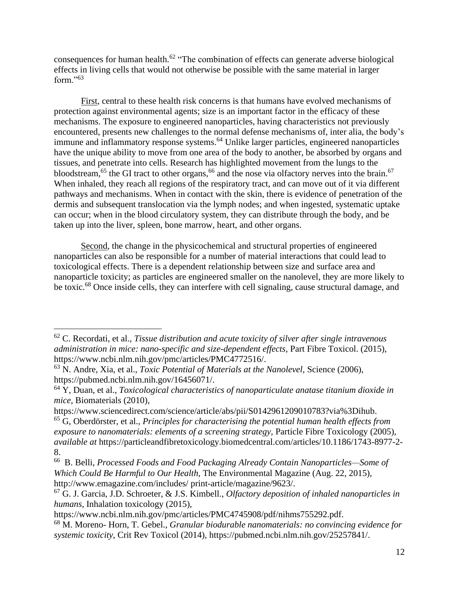consequences for human health.<sup>62</sup> "The combination of effects can generate adverse biological effects in living cells that would not otherwise be possible with the same material in larger form."<sup>63</sup>

First, central to these health risk concerns is that humans have evolved mechanisms of protection against environmental agents; size is an important factor in the efficacy of these mechanisms. The exposure to engineered nanoparticles, having characteristics not previously encountered, presents new challenges to the normal defense mechanisms of, inter alia, the body's immune and inflammatory response systems.<sup>64</sup> Unlike larger particles, engineered nanoparticles have the unique ability to move from one area of the body to another, be absorbed by organs and tissues, and penetrate into cells. Research has highlighted movement from the lungs to the bloodstream,<sup>65</sup> the GI tract to other organs,<sup>66</sup> and the nose via olfactory nerves into the brain.<sup>67</sup> When inhaled, they reach all regions of the respiratory tract, and can move out of it via different pathways and mechanisms. When in contact with the skin, there is evidence of penetration of the dermis and subsequent translocation via the lymph nodes; and when ingested, systematic uptake can occur; when in the blood circulatory system, they can distribute through the body, and be taken up into the liver, spleen, bone marrow, heart, and other organs.

Second, the change in the physicochemical and structural properties of engineered nanoparticles can also be responsible for a number of material interactions that could lead to toxicological effects. There is a dependent relationship between size and surface area and nanoparticle toxicity; as particles are engineered smaller on the nanolevel, they are more likely to be toxic.<sup>68</sup> Once inside cells, they can interfere with cell signaling, cause structural damage, and

<sup>62</sup> C. Recordati, et al., *Tissue distribution and acute toxicity of silver after single intravenous administration in mice: nano-specific and size-dependent effects,* Part Fibre Toxicol. (2015), [https://www.ncbi.nlm.nih.gov/pmc/articles/PMC4772516/.](https://www.ncbi.nlm.nih.gov/pmc/articles/PMC4772516/)

<sup>63</sup> N. Andre, Xia, et al., *Toxic Potential of Materials at the Nanolevel,* Science (2006), [https://pubmed.ncbi.nlm.nih.gov/16456071/.](https://pubmed.ncbi.nlm.nih.gov/16456071/)

<sup>64</sup> Y, Duan, et al., *Toxicological characteristics of nanoparticulate anatase titanium dioxide in mice,* Biomaterials (2010),

[https://www.sciencedirect.com/science/article/abs/pii/S0142961209010783?via%3Dihub.](https://www.sciencedirect.com/science/article/abs/pii/S0142961209010783?via%3Dihub)

<sup>65</sup> G, Oberdörster, et al., *Principles for characterising the potential human health effects from exposure to nanomaterials: elements of a screening strategy,* Particle Fibre Toxicology (2005), *available at* [https://particleandfibretoxicology.biomedcentral.com/articles/10.1186/1743-8977-2-](https://particleandfibretoxicology.biomedcentral.com/articles/10.1186/1743-8977-2-8) [8.](https://particleandfibretoxicology.biomedcentral.com/articles/10.1186/1743-8977-2-8)

<sup>66</sup> B. Belli, *Processed Foods and Food Packaging Already Contain Nanoparticles—Some of Which Could Be Harmful to Our Health,* The Environmental Magazine (Aug. 22, 2015), [http://www.emagazine.com/includes/ print-article/magazine/9623/.](http://www.emagazine.com/includes/)

<sup>67</sup> G. J. Garcia, J.D. Schroeter, & J.S. Kimbell., *Olfactory deposition of inhaled nanoparticles in humans,* Inhalation toxicology (2015),

https://www.ncbi.nlm.nih.gov/pmc/articles/PMC4745908/pdf/nihms755292.pdf.

<sup>68</sup> M. Moreno- Horn, T. Gebel., *Granular biodurable nanomaterials: no convincing evidence for systemic toxicity*, Crit Rev Toxicol (2014), [https://pubmed.ncbi.nlm.nih.gov/25257841/.](https://pubmed.ncbi.nlm.nih.gov/25257841/)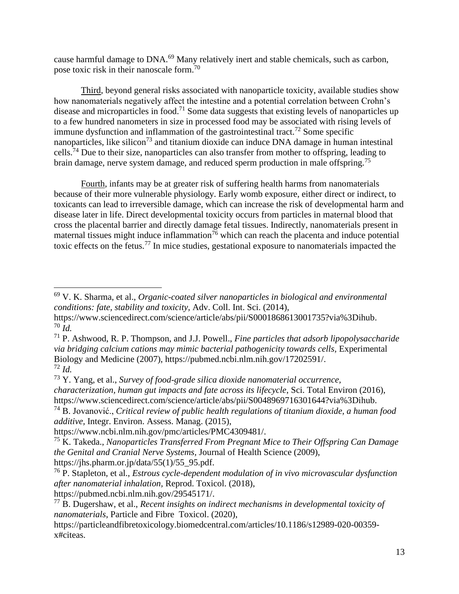cause harmful damage to DNA.<sup>69</sup> Many relatively inert and stable chemicals, such as carbon, pose toxic risk in their nanoscale form.<sup>70</sup>

Third, beyond general risks associated with nanoparticle toxicity, available studies show how nanomaterials negatively affect the intestine and a potential correlation between Crohn's disease and microparticles in food.<sup>71</sup> Some data suggests that existing levels of nanoparticles up to a few hundred nanometers in size in processed food may be associated with rising levels of immune dysfunction and inflammation of the gastrointestinal tract.<sup>72</sup> Some specific nanoparticles, like silicon<sup>73</sup> and titanium dioxide can induce DNA damage in human intestinal cells.<sup>74</sup> Due to their size, nanoparticles can also transfer from mother to offspring, leading to brain damage, nerve system damage, and reduced sperm production in male offspring.<sup>75</sup>

Fourth, infants may be at greater risk of suffering health harms from nanomaterials because of their more vulnerable physiology. Early womb exposure, either direct or indirect, to toxicants can lead to irreversible damage, which can increase the risk of developmental harm and disease later in life. Direct developmental toxicity occurs from particles in maternal blood that cross the placental barrier and directly damage fetal tissues. Indirectly, nanomaterials present in maternal tissues might induce inflammation<sup>76</sup> which can reach the placenta and induce potential toxic effects on the fetus.<sup>77</sup> In mice studies, gestational exposure to nanomaterials impacted the

[https://pubmed.ncbi.nlm.nih.gov/29545171/.](https://pubmed.ncbi.nlm.nih.gov/29545171/)

<sup>69</sup> V. K. Sharma, et al., *Organic-coated silver nanoparticles in biological and environmental conditions: fate, stability and toxicity,* Adv. Coll. Int. Sci. (2014),

[https://www.sciencedirect.com/science/article/abs/pii/S0001868613001735?via%3Dihub.](https://www.sciencedirect.com/science/article/abs/pii/S0001868613001735?via%3Dihub) <sup>70</sup> *Id.*

<sup>71</sup> P. Ashwood, R. P. Thompson, and J.J. Powell., *Fine particles that adsorb lipopolysaccharide via bridging calcium cations may mimic bacterial pathogenicity towards cells,* Experimental Biology and Medicine (2007), [https://pubmed.ncbi.nlm.nih.gov/17202591/.](https://pubmed.ncbi.nlm.nih.gov/17202591/) <sup>72</sup> *Id.* 

<sup>73</sup> Y. Yang, et al., *Survey of food-grade silica dioxide nanomaterial occurrence, characterization, human gut impacts and fate across its lifecycle*, Sci. Total Environ (2016), [https://www.sciencedirect.com/science/article/abs/pii/S0048969716301644?via%3Dihub.](https://www.sciencedirect.com/science/article/abs/pii/S0048969716301644?via%3Dihub)

<sup>74</sup> B. Jovanović., *Critical review of public health regulations of titanium dioxide, a human food additive,* Integr. Environ. Assess. Manag. (2015),

[https://www.ncbi.nlm.nih.gov/pmc/articles/PMC4309481/.](https://www.ncbi.nlm.nih.gov/pmc/articles/PMC4309481/)

<sup>75</sup> K. Takeda., *Nanoparticles Transferred From Pregnant Mice to Their Offspring Can Damage the Genital and Cranial Nerve Systems,* Journal of Health Science (2009),

https://ihs.pharm.or.jp/data/55(1)/55\_95.pdf.

<sup>76</sup> P. Stapleton, et al., *Estrous cycle-dependent modulation of in vivo microvascular dysfunction after nanomaterial inhalation,* Reprod. Toxicol. (2018),

<sup>77</sup> B. Dugershaw, et al., *Recent insights on indirect mechanisms in developmental toxicity of nanomaterials*, Particle and Fibre Toxicol. (2020),

[https://particleandfibretoxicology.biomedcentral.com/articles/10.1186/s12989-020-00359](https://particleandfibretoxicology.biomedcentral.com/articles/10.1186/s12989-020-00359-x#citeas) [x#citeas.](https://particleandfibretoxicology.biomedcentral.com/articles/10.1186/s12989-020-00359-x#citeas)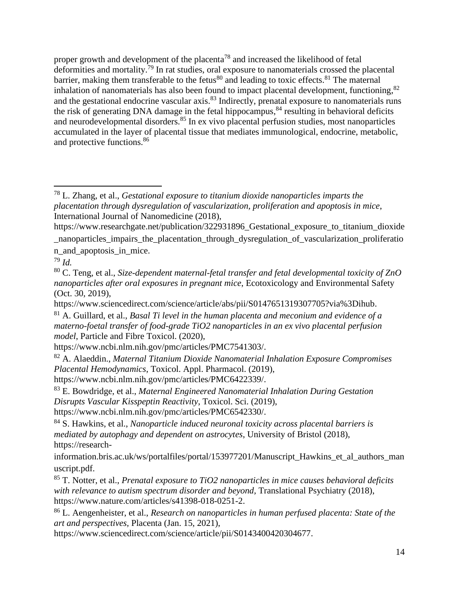proper growth and development of the placenta<sup>78</sup> and increased the likelihood of fetal deformities and mortality.<sup>79</sup> In rat studies, oral exposure to nanomaterials crossed the placental barrier, making them transferable to the fetus<sup>80</sup> and leading to toxic effects.<sup>81</sup> The maternal inhalation of nanomaterials has also been found to impact placental development, functioning, <sup>82</sup> and the gestational endocrine vascular axis.<sup>83</sup> Indirectly, prenatal exposure to nanomaterials runs the risk of generating DNA damage in the fetal hippocampus,<sup>84</sup> resulting in behavioral deficits and neurodevelopmental disorders.<sup>85</sup> In ex vivo placental perfusion studies, most nanoparticles accumulated in the layer of placental tissue that mediates immunological, endocrine, metabolic, and protective functions.<sup>86</sup>

<sup>79</sup> *Id.*

[https://www.ncbi.nlm.nih.gov/pmc/articles/PMC7541303/.](https://www.ncbi.nlm.nih.gov/pmc/articles/PMC7541303/)

[https://www.sciencedirect.com/science/article/pii/S0143400420304677.](https://www.sciencedirect.com/science/article/pii/S0143400420304677)

<sup>78</sup> L. Zhang, et al., *Gestational exposure to titanium dioxide nanoparticles imparts the placentation through dysregulation of vascularization, proliferation and apoptosis in mice*, International Journal of Nanomedicine (2018),

[https://www.researchgate.net/publication/322931896\\_Gestational\\_exposure\\_to\\_titanium\\_dioxide](https://www.researchgate.net/publication/322931896_Gestational_exposure_to_titanium_dioxide_nanoparticles_impairs_the_placentation_through_dysregulation_of_vascularization_proliferation_and_apoptosis_in_mice) [\\_nanoparticles\\_impairs\\_the\\_placentation\\_through\\_dysregulation\\_of\\_vascularization\\_proliferatio](https://www.researchgate.net/publication/322931896_Gestational_exposure_to_titanium_dioxide_nanoparticles_impairs_the_placentation_through_dysregulation_of_vascularization_proliferation_and_apoptosis_in_mice) [n\\_and\\_apoptosis\\_in\\_mice.](https://www.researchgate.net/publication/322931896_Gestational_exposure_to_titanium_dioxide_nanoparticles_impairs_the_placentation_through_dysregulation_of_vascularization_proliferation_and_apoptosis_in_mice)

<sup>80</sup> C. Teng, et al., *Size-dependent maternal-fetal transfer and fetal developmental toxicity of ZnO nanoparticles after oral exposures in pregnant mice*, Ecotoxicology and Environmental Safety (Oct. 30, 2019),

[https://www.sciencedirect.com/science/article/abs/pii/S0147651319307705?via%3Dihub.](https://www.sciencedirect.com/science/article/abs/pii/S0147651319307705?via%3Dihub)

<sup>81</sup> A. Guillard, et al., *Basal Ti level in the human placenta and meconium and evidence of a materno-foetal transfer of food-grade TiO2 nanoparticles in an ex vivo placental perfusion model*, Particle and Fibre Toxicol. (2020),

<sup>82</sup> A. Alaeddin., *Maternal Titanium Dioxide Nanomaterial Inhalation Exposure Compromises Placental Hemodynamics*, Toxicol. Appl. Pharmacol. (2019), [https://www.ncbi.nlm.nih.gov/pmc/articles/PMC6422339/.](https://www.ncbi.nlm.nih.gov/pmc/articles/PMC6422339/)

<sup>83</sup> E. Bowdridge, et al., *Maternal Engineered Nanomaterial Inhalation During Gestation Disrupts Vascular Kisspeptin Reactivity*, Toxicol. Sci. (2019),

[https://www.ncbi.nlm.nih.gov/pmc/articles/PMC6542330/.](https://www.ncbi.nlm.nih.gov/pmc/articles/PMC6542330/)

<sup>84</sup> S. Hawkins, et al., *Nanoparticle induced neuronal toxicity across placental barriers is mediated by autophagy and dependent on astrocytes*, University of Bristol (2018), [https://research-](https://research-information.bris.ac.uk/ws/portalfiles/portal/153977201/Manuscript_Hawkins_et_al_authors_manuscript.pdf)

[information.bris.ac.uk/ws/portalfiles/portal/153977201/Manuscript\\_Hawkins\\_et\\_al\\_authors\\_man](https://research-information.bris.ac.uk/ws/portalfiles/portal/153977201/Manuscript_Hawkins_et_al_authors_manuscript.pdf) [uscript.pdf.](https://research-information.bris.ac.uk/ws/portalfiles/portal/153977201/Manuscript_Hawkins_et_al_authors_manuscript.pdf)

<sup>85</sup> T. Notter, et al., *Prenatal exposure to TiO2 nanoparticles in mice causes behavioral deficits*  with relevance to autism spectrum disorder and beyond, Translational Psychiatry (2018), [https://www.nature.com/articles/s41398-018-0251-2.](https://www.nature.com/articles/s41398-018-0251-2)

<sup>86</sup> L. Aengenheister, et al., *Research on nanoparticles in human perfused placenta: State of the art and perspectives,* Placenta (Jan. 15, 2021),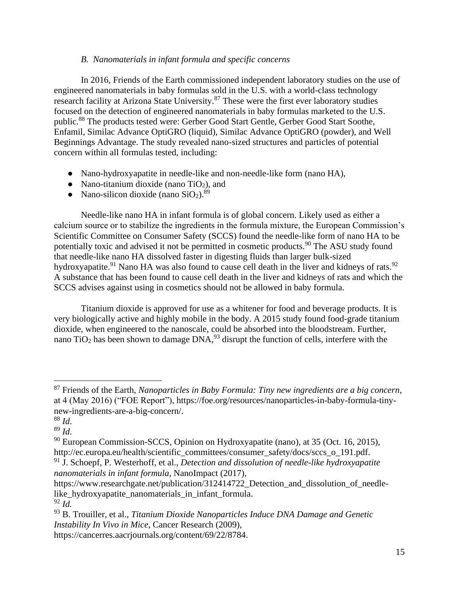#### *B. Nanomaterials in infant formula and specific concerns*

In 2016, Friends of the Earth commissioned independent laboratory studies on the use of engineered nanomaterials in baby formulas sold in the U.S. with a world-class technology research facility at Arizona State University.<sup>87</sup> These were the first ever laboratory studies focused on the detection of engineered nanomaterials in baby formulas marketed to the U.S. public.<sup>88</sup> The products tested were: Gerber Good Start Gentle, Gerber Good Start Soothe, Enfamil, Similac Advance OptiGRO (liquid), Similac Advance OptiGRO (powder), and Well Beginnings Advantage. The study revealed nano-sized structures and particles of potential concern within all formulas tested, including:

- Nano-hydroxyapatite in needle-like and non-needle-like form (nano HA),
- Nano-titanium dioxide (nano  $TiO<sub>2</sub>$ ), and
- Nano-silicon dioxide (nano  $SiO<sub>2</sub>$ ).<sup>89</sup>

Needle-like nano HA in infant formula is of global concern. Likely used as either a calcium source or to stabilize the ingredients in the formula mixture, the European Commission's Scientific Committee on Consumer Safety (SCCS) found the needle-like form of nano HA to be potentially toxic and advised it not be permitted in cosmetic products.<sup>90</sup> The ASU study found that needle-like nano HA dissolved faster in digesting fluids than larger bulk-sized hydroxyapatite.<sup>91</sup> Nano HA was also found to cause cell death in the liver and kidneys of rats.<sup>92</sup> A substance that has been found to cause cell death in the liver and kidneys of rats and which the SCCS advises against using in cosmetics should not be allowed in baby formula.

Titanium dioxide is approved for use as a whitener for food and beverage products. It is very biologically active and highly mobile in the body. A 2015 study found food-grade titanium dioxide, when engineered to the nanoscale, could be absorbed into the bloodstream. Further, nano  $TiO<sub>2</sub>$  has been shown to damage  $DNA<sub>23</sub>$  disrupt the function of cells, interfere with the

<sup>87</sup> Friends of the Earth, *Nanoparticles in Baby Formula: Tiny new ingredients are a big concern*, at 4 (May 2016) ("FOE Report"), [https://foe.org/resources/nanoparticles-in-baby-formula-tiny](https://foe.org/resources/nanoparticles-in-baby-formula-tiny-new-ingredients-are-a-big-concern/)[new-ingredients-are-a-big-concern/.](https://foe.org/resources/nanoparticles-in-baby-formula-tiny-new-ingredients-are-a-big-concern/)

<sup>88</sup> *Id*.

<sup>89</sup> *Id*.

<sup>90</sup> European Commission-SCCS, Opinion on Hydroxyapatite (nano), at 35 (Oct. 16, 2015), [http://ec.europa.eu/health/scientific\\_committees/consumer\\_safety/docs/sccs\\_o\\_191.pdf.](http://ec.europa.eu/health/scientific_committees/consumer_safety/docs/sccs_o_191.pdf)

<sup>91</sup> J. Schoepf, P. Westerhoff, et al., *Detection and dissolution of needle-like hydroxyapatite nanomaterials in infant formula,* NanoImpact (2017),

[https://www.researchgate.net/publication/312414722\\_Detection\\_and\\_dissolution\\_of\\_needle](https://www.researchgate.net/publication/312414722_Detection_and_dissolution_of_needle-like_hydroxyapatite_nanomaterials_in_infant_formula)like hydroxyapatite nanomaterials in infant formula.

<sup>92</sup> *Id.*

<sup>93</sup> B. Trouiller, et al., *Titanium Dioxide Nanoparticles Induce DNA Damage and Genetic Instability In Vivo in Mice*, Cancer Research (2009),

[https://cancerres.aacrjournals.org/content/69/22/8784.](https://cancerres.aacrjournals.org/content/69/22/8784)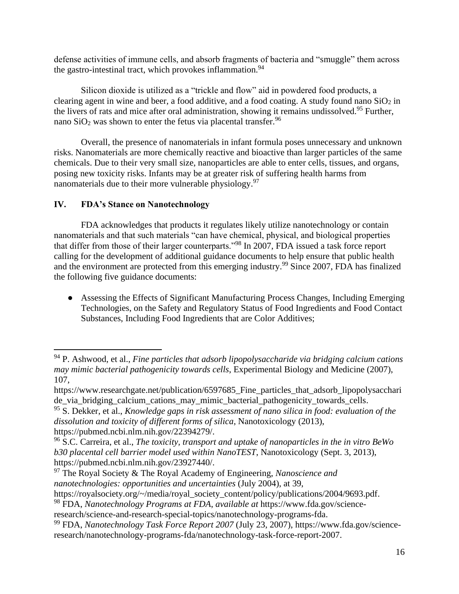defense activities of immune cells, and absorb fragments of bacteria and "smuggle" them across the gastro-intestinal tract, which provokes inflammation.<sup>94</sup>

Silicon dioxide is utilized as a "trickle and flow" aid in powdered food products, a clearing agent in wine and beer, a food additive, and a food coating. A study found nano  $SiO<sub>2</sub>$  in the livers of rats and mice after oral administration, showing it remains undissolved.<sup>95</sup> Further, nano  $SiO<sub>2</sub>$  was shown to enter the fetus via placental transfer.<sup>96</sup>

Overall, the presence of nanomaterials in infant formula poses unnecessary and unknown risks. Nanomaterials are more chemically reactive and bioactive than larger particles of the same chemicals. Due to their very small size, nanoparticles are able to enter cells, tissues, and organs, posing new toxicity risks. Infants may be at greater risk of suffering health harms from nanomaterials due to their more vulnerable physiology.<sup>97</sup>

# **IV. FDA's Stance on Nanotechnology**

FDA acknowledges that products it regulates likely utilize nanotechnology or contain nanomaterials and that such materials "can have chemical, physical, and biological properties that differ from those of their larger counterparts."<sup>98</sup> In 2007, FDA issued a task force report calling for the development of additional guidance documents to help ensure that public health and the environment are protected from this emerging industry.<sup>99</sup> Since 2007, FDA has finalized the following five guidance documents:

● Assessing the Effects of Significant Manufacturing Process Changes, Including Emerging Technologies, on the Safety and Regulatory Status of Food Ingredients and Food Contact Substances, Including Food Ingredients that are Color Additives;

<sup>97</sup> The Royal Society & The Royal Academy of Engineering, *Nanoscience and nanotechnologies: opportunities and uncertainties* (July 2004), at 39,

<sup>94</sup> P. Ashwood, et al., *Fine particles that adsorb lipopolysaccharide via bridging calcium cations may mimic bacterial pathogenicity towards cells*, Experimental Biology and Medicine (2007), 107,

https://www.researchgate.net/publication/6597685 Fine particles that adsorb lipopolysacchari de via bridging calcium cations may mimic bacterial pathogenicity towards cells.

<sup>95</sup> S. Dekker, et al., *Knowledge gaps in risk assessment of nano silica in food: evaluation of the dissolution and toxicity of different forms of silica*, Nanotoxicology (2013), [https://pubmed.ncbi.nlm.nih.gov/22394279/.](https://pubmed.ncbi.nlm.nih.gov/22394279/)

<sup>96</sup> S.C. Carreira, et al., *The toxicity, transport and uptake of nanoparticles in the in vitro BeWo b30 placental cell barrier model used within NanoTEST*, Nanotoxicology (Sept. 3, 2013), [https://pubmed.ncbi.nlm.nih.gov/23927440/.](https://pubmed.ncbi.nlm.nih.gov/23927440/)

[https://royalsociety.org/~/media/royal\\_society\\_content/policy/publications/2004/9693.pdf.](https://royalsociety.org/~/media/royal_society_content/policy/publications/2004/9693.pdf)

<sup>98</sup> FDA, *Nanotechnology Programs at FDA*, *available at* [https://www.fda.gov/science-](https://www.fda.gov/science-research/science-and-research-special-topics/nanotechnology-programs-fda)

[research/science-and-research-special-topics/nanotechnology-programs-fda.](https://www.fda.gov/science-research/science-and-research-special-topics/nanotechnology-programs-fda)

<sup>99</sup> FDA, *Nanotechnology Task Force Report 2007* (July 23, 2007), [https://www.fda.gov/science](https://www.fda.gov/science-research/nanotechnology-programs-fda/nanotechnology-task-force-report-2007)[research/nanotechnology-programs-fda/nanotechnology-task-force-report-2007.](https://www.fda.gov/science-research/nanotechnology-programs-fda/nanotechnology-task-force-report-2007)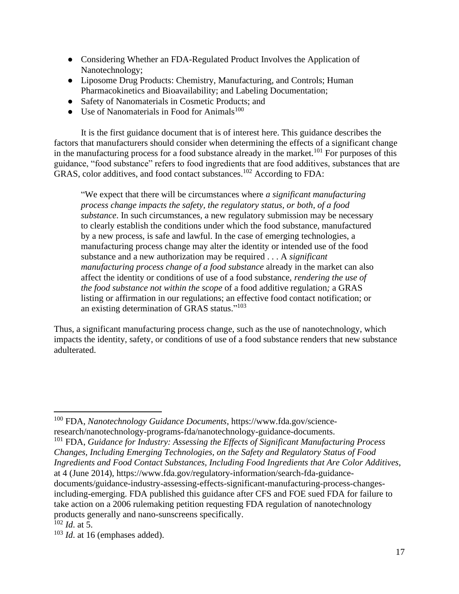- Considering Whether an FDA-Regulated Product Involves the Application of Nanotechnology;
- Liposome Drug Products: Chemistry, Manufacturing, and Controls; Human Pharmacokinetics and Bioavailability; and Labeling Documentation;
- Safety of Nanomaterials in Cosmetic Products; and
- $\bullet$  Use of Nanomaterials in Food for Animals<sup>100</sup>

It is the first guidance document that is of interest here. This guidance describes the factors that manufacturers should consider when determining the effects of a significant change in the manufacturing process for a food substance already in the market.<sup>101</sup> For purposes of this guidance, "food substance" refers to food ingredients that are food additives, substances that are GRAS, color additives, and food contact substances.<sup>102</sup> According to FDA:

"We expect that there will be circumstances where *a significant manufacturing process change impacts the safety, the regulatory status, or both, of a food substance*. In such circumstances, a new regulatory submission may be necessary to clearly establish the conditions under which the food substance, manufactured by a new process, is safe and lawful. In the case of emerging technologies, a manufacturing process change may alter the identity or intended use of the food substance and a new authorization may be required . . . A *significant manufacturing process change of a food substance* already in the market can also affect the identity or conditions of use of a food substance, *rendering the use of the food substance not within the scope* of a food additive regulation*;* a GRAS listing or affirmation in our regulations; an effective food contact notification; or an existing determination of GRAS status."<sup>103</sup>

Thus, a significant manufacturing process change, such as the use of nanotechnology, which impacts the identity, safety, or conditions of use of a food substance renders that new substance adulterated.

<sup>100</sup> FDA, *Nanotechnology Guidance Documents*, [https://www.fda.gov/science](https://www.fda.gov/science-research/nanotechnology-programs-fda/nanotechnology-guidance-documents)[research/nanotechnology-programs-fda/nanotechnology-guidance-documents.](https://www.fda.gov/science-research/nanotechnology-programs-fda/nanotechnology-guidance-documents)

<sup>101</sup> FDA, *Guidance for Industry: Assessing the Effects of Significant Manufacturing Process Changes, Including Emerging Technologies, on the Safety and Regulatory Status of Food Ingredients and Food Contact Substances, Including Food Ingredients that Are Color Additives*, at 4 (June 2014), [https://www.fda.gov/regulatory-information/search-fda-guidance](https://www.fda.gov/regulatory-information/search-fda-guidance-documents/guidance-industry-assessing-effects-significant-manufacturing-process-changes-including-emerging)[documents/guidance-industry-assessing-effects-significant-manufacturing-process-changes](https://www.fda.gov/regulatory-information/search-fda-guidance-documents/guidance-industry-assessing-effects-significant-manufacturing-process-changes-including-emerging)[including-emerging.](https://www.fda.gov/regulatory-information/search-fda-guidance-documents/guidance-industry-assessing-effects-significant-manufacturing-process-changes-including-emerging) FDA published this guidance after CFS and FOE sued FDA for failure to take action on a 2006 rulemaking petition requesting FDA regulation of nanotechnology products generally and nano-sunscreens specifically.

 $102$  *Id.* at 5.

<sup>103</sup> *Id*. at 16 (emphases added).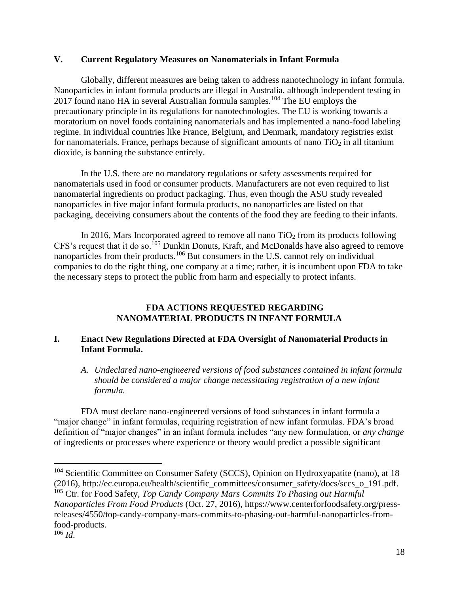#### **V. Current Regulatory Measures on Nanomaterials in Infant Formula**

Globally, different measures are being taken to address nanotechnology in infant formula. Nanoparticles in infant formula products are illegal in Australia, although independent testing in 2017 found nano HA in several Australian formula samples.<sup>104</sup> The EU employs the precautionary principle in its regulations for nanotechnologies. The EU is working towards a moratorium on novel foods containing nanomaterials and has implemented a nano-food labeling regime. In individual countries like France, Belgium, and Denmark, mandatory registries exist for nanomaterials. France, perhaps because of significant amounts of nano  $TiO<sub>2</sub>$  in all titanium dioxide, is banning the substance entirely.

In the U.S. there are no mandatory regulations or safety assessments required for nanomaterials used in food or consumer products. Manufacturers are not even required to list nanomaterial ingredients on product packaging. Thus, even though the ASU study revealed nanoparticles in five major infant formula products, no nanoparticles are listed on that packaging, deceiving consumers about the contents of the food they are feeding to their infants.

In 2016, Mars Incorporated agreed to remove all nano  $TiO<sub>2</sub>$  from its products following CFS's request that it do so.<sup>105</sup> Dunkin Donuts, Kraft, and McDonalds have also agreed to remove nanoparticles from their products.<sup>106</sup> But consumers in the U.S. cannot rely on individual companies to do the right thing, one company at a time; rather, it is incumbent upon FDA to take the necessary steps to protect the public from harm and especially to protect infants.

### **FDA ACTIONS REQUESTED REGARDING NANOMATERIAL PRODUCTS IN INFANT FORMULA**

# **I. Enact New Regulations Directed at FDA Oversight of Nanomaterial Products in Infant Formula.**

*A. Undeclared nano-engineered versions of food substances contained in infant formula should be considered a major change necessitating registration of a new infant formula.*

FDA must declare nano-engineered versions of food substances in infant formula a "major change" in infant formulas, requiring registration of new infant formulas. FDA's broad definition of "major changes" in an infant formula includes "any new formulation, or *any change* of ingredients or processes where experience or theory would predict a possible significant

*Nanoparticles From Food Products* (Oct. 27, 2016), [https://www.centerforfoodsafety.org/press](https://www.centerforfoodsafety.org/press-releases/4550/top-candy-company-mars-commits-to-phasing-out-harmful-nanoparticles-from-food-products)[releases/4550/top-candy-company-mars-commits-to-phasing-out-harmful-nanoparticles-from](https://www.centerforfoodsafety.org/press-releases/4550/top-candy-company-mars-commits-to-phasing-out-harmful-nanoparticles-from-food-products)[food-products.](https://www.centerforfoodsafety.org/press-releases/4550/top-candy-company-mars-commits-to-phasing-out-harmful-nanoparticles-from-food-products)

<sup>104</sup> Scientific Committee on Consumer Safety (SCCS), Opinion on Hydroxyapatite (nano), at 18 (2016), [http://ec.europa.eu/health/scientific\\_committees/consumer\\_safety/docs/sccs\\_o\\_191.pdf.](http://ec.europa.eu/health/scientific_committees/consumer_safety/docs/sccs_o_191.pdf) <sup>105</sup> Ctr. for Food Safety, *Top Candy Company Mars Commits To Phasing out Harmful* 

 $106$  *Id.*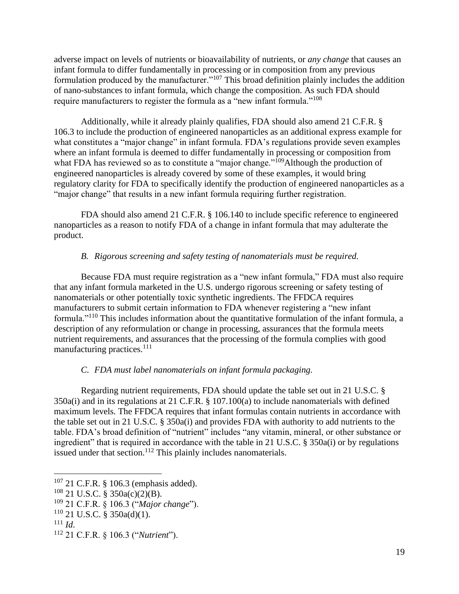adverse impact on levels of nutrients or bioavailability of nutrients, or *any change* that causes an infant formula to differ fundamentally in processing or in composition from any previous formulation produced by the manufacturer."<sup>107</sup> This broad definition plainly includes the addition of nano-substances to infant formula, which change the composition. As such FDA should require manufacturers to register the formula as a "new infant formula."<sup>108</sup>

Additionally, while it already plainly qualifies, FDA should also amend 21 C.F.R. § 106.3 to include the production of engineered nanoparticles as an additional express example for what constitutes a "major change" in infant formula. FDA's regulations provide seven examples where an infant formula is deemed to differ fundamentally in processing or composition from what FDA has reviewed so as to constitute a "major change."<sup>109</sup>Although the production of engineered nanoparticles is already covered by some of these examples, it would bring regulatory clarity for FDA to specifically identify the production of engineered nanoparticles as a "major change" that results in a new infant formula requiring further registration.

FDA should also amend 21 C.F.R. § 106.140 to include specific reference to engineered nanoparticles as a reason to notify FDA of a change in infant formula that may adulterate the product.

### *B. Rigorous screening and safety testing of nanomaterials must be required.*

Because FDA must require registration as a "new infant formula," FDA must also require that any infant formula marketed in the U.S. undergo rigorous screening or safety testing of nanomaterials or other potentially toxic synthetic ingredients. The FFDCA requires manufacturers to submit certain information to FDA whenever registering a "new infant formula."<sup>110</sup> This includes information about the quantitative formulation of the infant formula, a description of any reformulation or change in processing, assurances that the formula meets nutrient requirements, and assurances that the processing of the formula complies with good manufacturing practices.<sup>111</sup>

### *C. FDA must label nanomaterials on infant formula packaging.*

Regarding nutrient requirements, FDA should update the table set out in 21 U.S.C. § 350a(i) and in its regulations at 21 C.F.R. § 107.100(a) to include nanomaterials with defined maximum levels. The FFDCA requires that infant formulas contain nutrients in accordance with the table set out in 21 U.S.C. § 350a(i) and provides FDA with authority to add nutrients to the table. FDA's broad definition of "nutrient" includes "any vitamin, mineral, or other substance or ingredient" that is required in accordance with the table in 21 U.S.C. § 350a(i) or by regulations issued under that section.<sup>112</sup> This plainly includes nanomaterials.

<sup>107</sup> 21 C.F.R. § 106.3 (emphasis added).

 $108$  21 U.S.C. § 350a(c)(2)(B).

<sup>109</sup> 21 C.F.R. § 106.3 ("*Major change*").

 $110$  21 U.S.C. § 350a(d)(1).

 $111$  *Id.* 

<sup>112</sup> 21 C.F.R. § 106.3 ("*Nutrient*").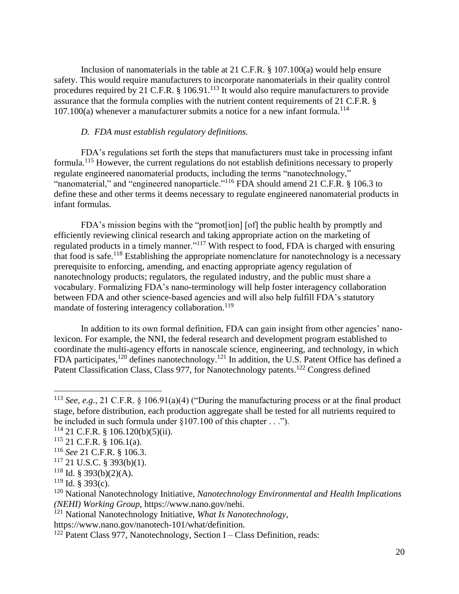Inclusion of nanomaterials in the table at 21 C.F.R. § 107.100(a) would help ensure safety. This would require manufacturers to incorporate nanomaterials in their quality control procedures required by 21 C.F.R. § 106.91.<sup>113</sup> It would also require manufacturers to provide assurance that the formula complies with the nutrient content requirements of 21 C.F.R. §  $107.100(a)$  whenever a manufacturer submits a notice for a new infant formula.<sup>114</sup>

#### *D. FDA must establish regulatory definitions.*

FDA's regulations set forth the steps that manufacturers must take in processing infant formula.<sup>115</sup> However, the current regulations do not establish definitions necessary to properly regulate engineered nanomaterial products, including the terms "nanotechnology," "nanomaterial," and "engineered nanoparticle."<sup>116</sup> FDA should amend 21 C.F.R. § 106.3 to define these and other terms it deems necessary to regulate engineered nanomaterial products in infant formulas.

FDA's mission begins with the "promot[ion] [of] the public health by promptly and efficiently reviewing clinical research and taking appropriate action on the marketing of regulated products in a timely manner."<sup>117</sup> With respect to food, FDA is charged with ensuring that food is safe.<sup>118</sup> Establishing the appropriate nomenclature for nanotechnology is a necessary prerequisite to enforcing, amending, and enacting appropriate agency regulation of nanotechnology products; regulators, the regulated industry, and the public must share a vocabulary. Formalizing FDA's nano-terminology will help foster interagency collaboration between FDA and other science-based agencies and will also help fulfill FDA's statutory mandate of fostering interagency collaboration.<sup>119</sup>

In addition to its own formal definition, FDA can gain insight from other agencies' nanolexicon. For example, the NNI, the federal research and development program established to coordinate the multi-agency efforts in nanoscale science, engineering, and technology, in which FDA participates,<sup>120</sup> defines nanotechnology.<sup>121</sup> In addition, the U.S. Patent Office has defined a Patent Classification Class, Class 977, for Nanotechnology patents.<sup>122</sup> Congress defined

<sup>113</sup> *See, e.g.*, 21 C.F.R. § 106.91(a)(4) ("During the manufacturing process or at the final product stage, before distribution, each production aggregate shall be tested for all nutrients required to be included in such formula under §107.100 of this chapter . . .").

 $114$  21 C.F.R. § 106.120(b)(5)(ii).

<sup>115</sup> 21 C.F.R. § 106.1(a).

<sup>116</sup> *See* 21 C.F.R. § 106.3.

 $117$  21 U.S.C. § 393(b)(1).

 $118$  Id. § 393(b)(2)(A).

 $119$  Id. § 393(c).

<sup>120</sup> National Nanotechnology Initiative, *Nanotechnology Environmental and Health Implications (NEHI) Working Group*, [https://www.nano.gov/nehi.](https://www.nano.gov/nehi)

<sup>121</sup> National Nanotechnology Initiative*, What Is Nanotechnology,* 

https://www.nano.gov/nanotech-101/what/definition.

 $122$  Patent Class 977, Nanotechnology, Section I – Class Definition, reads: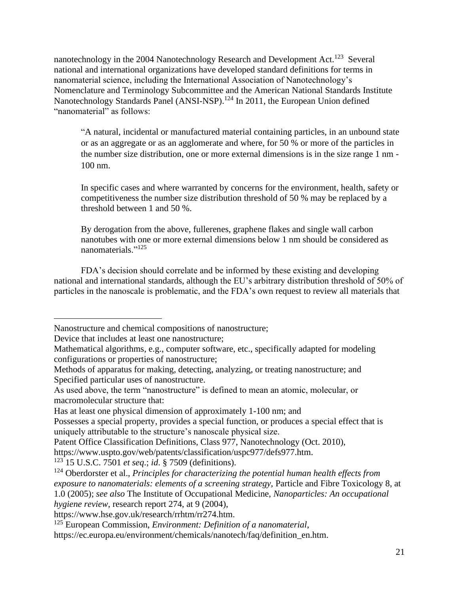nanotechnology in the 2004 Nanotechnology Research and Development Act.<sup>123</sup> Several national and international organizations have developed standard definitions for terms in nanomaterial science, including the International Association of Nanotechnology's Nomenclature and Terminology Subcommittee and the American National Standards Institute Nanotechnology Standards Panel (ANSI-NSP).<sup>124</sup> In 2011, the European Union defined "nanomaterial" as follows:

"A natural, incidental or manufactured material containing particles, in an unbound state or as an aggregate or as an agglomerate and where, for 50 % or more of the particles in the number size distribution, one or more external dimensions is in the size range 1 nm - 100 nm.

In specific cases and where warranted by concerns for the environment, health, safety or competitiveness the number size distribution threshold of 50 % may be replaced by a threshold between 1 and 50 %.

By derogation from the above, fullerenes, graphene flakes and single wall carbon nanotubes with one or more external dimensions below 1 nm should be considered as nanomaterials."<sup>125</sup>

FDA's decision should correlate and be informed by these existing and developing national and international standards, although the EU's arbitrary distribution threshold of 50% of particles in the nanoscale is problematic, and the FDA's own request to review all materials that

<https://www.hse.gov.uk/research/rrhtm/rr274.htm.>

Nanostructure and chemical compositions of nanostructure;

Device that includes at least one nanostructure;

Mathematical algorithms, e.g., computer software, etc., specifically adapted for modeling configurations or properties of nanostructure;

Methods of apparatus for making, detecting, analyzing, or treating nanostructure; and Specified particular uses of nanostructure.

As used above, the term "nanostructure" is defined to mean an atomic, molecular, or macromolecular structure that:

Has at least one physical dimension of approximately 1-100 nm; and

Possesses a special property, provides a special function, or produces a special effect that is uniquely attributable to the structure's nanoscale physical size.

Patent Office Classification Definitions, Class 977, Nanotechnology (Oct. 2010),

<https://www.uspto.gov/web/patents/classification/uspc977/defs977.htm.>

<sup>123</sup> 15 U.S.C. 7501 *et seq*.; *id*. § 7509 (definitions).

<sup>124</sup> Oberdorster et al., *Principles for characterizing the potential human health effects from exposure to nanomaterials: elements of a screening strategy,* Particle and Fibre Toxicology 8, at 1.0 (2005); *see also* The Institute of Occupational Medicine, *Nanoparticles: An occupational hygiene review*, research report 274, at 9 (2004),

<sup>125</sup> European Commission, *Environment: Definition of a nanomaterial*,

[https://ec.europa.eu/environment/chemicals/nanotech/faq/definition\\_en.htm.](https://ec.europa.eu/environment/chemicals/nanotech/faq/definition_en.htm.)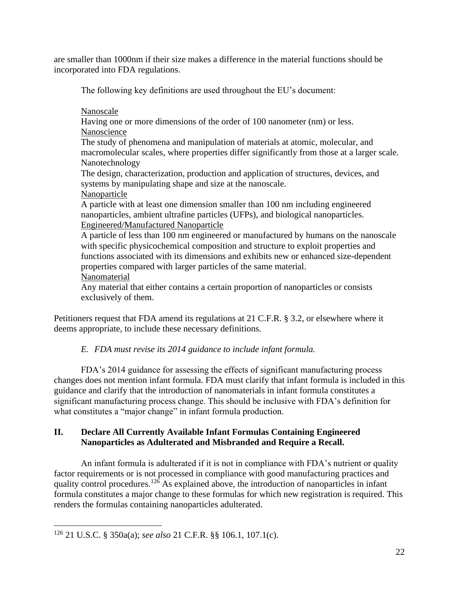are smaller than 1000nm if their size makes a difference in the material functions should be incorporated into FDA regulations.

The following key definitions are used throughout the EU's document:

Nanoscale

Having one or more dimensions of the order of 100 nanometer (nm) or less. Nanoscience

The study of phenomena and manipulation of materials at atomic, molecular, and macromolecular scales, where properties differ significantly from those at a larger scale. Nanotechnology

The design, characterization, production and application of structures, devices, and systems by manipulating shape and size at the nanoscale.

Nanoparticle

A particle with at least one dimension smaller than 100 nm including engineered nanoparticles, ambient ultrafine particles (UFPs), and biological nanoparticles. Engineered/Manufactured Nanoparticle

A particle of less than 100 nm engineered or manufactured by humans on the nanoscale with specific physicochemical composition and structure to exploit properties and functions associated with its dimensions and exhibits new or enhanced size-dependent properties compared with larger particles of the same material. Nanomaterial

Any material that either contains a certain proportion of nanoparticles or consists exclusively of them.

Petitioners request that FDA amend its regulations at 21 C.F.R. § 3.2, or elsewhere where it deems appropriate, to include these necessary definitions.

# *E. FDA must revise its 2014 guidance to include infant formula.*

FDA's 2014 guidance for assessing the effects of significant manufacturing process changes does not mention infant formula. FDA must clarify that infant formula is included in this guidance and clarify that the introduction of nanomaterials in infant formula constitutes a significant manufacturing process change. This should be inclusive with FDA's definition for what constitutes a "major change" in infant formula production.

# **II. Declare All Currently Available Infant Formulas Containing Engineered Nanoparticles as Adulterated and Misbranded and Require a Recall.**

An infant formula is adulterated if it is not in compliance with FDA's nutrient or quality factor requirements or is not processed in compliance with good manufacturing practices and quality control procedures.<sup>126</sup> As explained above, the introduction of nanoparticles in infant formula constitutes a major change to these formulas for which new registration is required. This renders the formulas containing nanoparticles adulterated.

<sup>126</sup> 21 U.S.C. § 350a(a); *see also* 21 C.F.R. §§ 106.1, 107.1(c).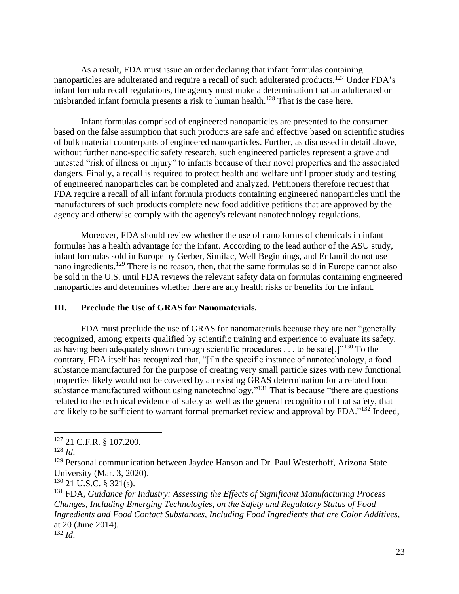As a result, FDA must issue an order declaring that infant formulas containing nanoparticles are adulterated and require a recall of such adulterated products.<sup>127</sup> Under FDA's infant formula recall regulations, the agency must make a determination that an adulterated or misbranded infant formula presents a risk to human health.<sup>128</sup> That is the case here.

Infant formulas comprised of engineered nanoparticles are presented to the consumer based on the false assumption that such products are safe and effective based on scientific studies of bulk material counterparts of engineered nanoparticles. Further, as discussed in detail above, without further nano-specific safety research, such engineered particles represent a grave and untested "risk of illness or injury" to infants because of their novel properties and the associated dangers. Finally, a recall is required to protect health and welfare until proper study and testing of engineered nanoparticles can be completed and analyzed. Petitioners therefore request that FDA require a recall of all infant formula products containing engineered nanoparticles until the manufacturers of such products complete new food additive petitions that are approved by the agency and otherwise comply with the agency's relevant nanotechnology regulations.

Moreover, FDA should review whether the use of nano forms of chemicals in infant formulas has a health advantage for the infant. According to the lead author of the ASU study, infant formulas sold in Europe by Gerber, Similac, Well Beginnings, and Enfamil do not use nano ingredients.<sup>129</sup> There is no reason, then, that the same formulas sold in Europe cannot also be sold in the U.S. until FDA reviews the relevant safety data on formulas containing engineered nanoparticles and determines whether there are any health risks or benefits for the infant.

#### **III. Preclude the Use of GRAS for Nanomaterials.**

FDA must preclude the use of GRAS for nanomaterials because they are not "generally recognized, among experts qualified by scientific training and experience to evaluate its safety, as having been adequately shown through scientific procedures . . . to be safe[.]"<sup>130</sup> To the contrary, FDA itself has recognized that, "[i]n the specific instance of nanotechnology, a food substance manufactured for the purpose of creating very small particle sizes with new functional properties likely would not be covered by an existing GRAS determination for a related food substance manufactured without using nanotechnology."<sup>131</sup> That is because "there are questions" related to the technical evidence of safety as well as the general recognition of that safety, that are likely to be sufficient to warrant formal premarket review and approval by FDA."<sup>132</sup> Indeed,

<sup>127</sup> 21 C.F.R. § 107.200.

<sup>128</sup> *Id*.

<sup>&</sup>lt;sup>129</sup> Personal communication between Jaydee Hanson and Dr. Paul Westerhoff, Arizona State University (Mar. 3, 2020).

 $130$  21 U.S.C. § 321(s).

<sup>131</sup> FDA, *Guidance for Industry: Assessing the Effects of Significant Manufacturing Process Changes, Including Emerging Technologies, on the Safety and Regulatory Status of Food Ingredients and Food Contact Substances, Including Food Ingredients that are Color Additives*, at 20 (June 2014).

 $132$  *Id.*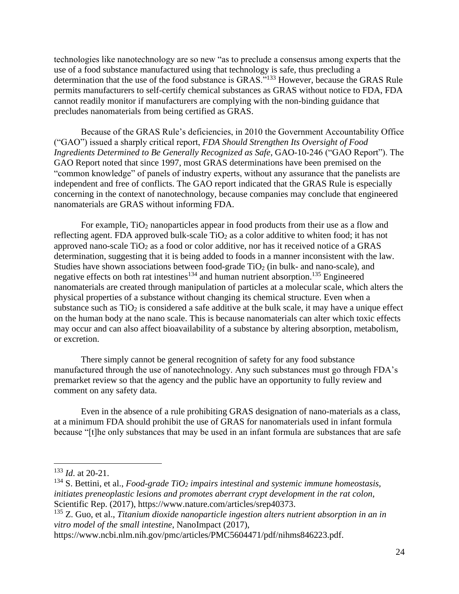technologies like nanotechnology are so new "as to preclude a consensus among experts that the use of a food substance manufactured using that technology is safe, thus precluding a determination that the use of the food substance is GRAS."<sup>133</sup> However, because the GRAS Rule permits manufacturers to self-certify chemical substances as GRAS without notice to FDA, FDA cannot readily monitor if manufacturers are complying with the non-binding guidance that precludes nanomaterials from being certified as GRAS.

Because of the GRAS Rule's deficiencies, in 2010 the Government Accountability Office ("GAO") issued a sharply critical report, *FDA Should Strengthen Its Oversight of Food Ingredients Determined to Be Generally Recognized as Safe*, GAO-10-246 ("GAO Report"). The GAO Report noted that since 1997, most GRAS determinations have been premised on the "common knowledge" of panels of industry experts, without any assurance that the panelists are independent and free of conflicts. The GAO report indicated that the GRAS Rule is especially concerning in the context of nanotechnology, because companies may conclude that engineered nanomaterials are GRAS without informing FDA.

For example,  $TiO<sub>2</sub>$  nanoparticles appear in food products from their use as a flow and reflecting agent. FDA approved bulk-scale  $TiO<sub>2</sub>$  as a color additive to whiten food; it has not approved nano-scale  $TiO<sub>2</sub>$  as a food or color additive, nor has it received notice of a GRAS determination, suggesting that it is being added to foods in a manner inconsistent with the law. Studies have shown associations between food-grade  $TiO<sub>2</sub>$  (in bulk- and nano-scale), and negative effects on both rat intestines<sup>134</sup> and human nutrient absorption.<sup>135</sup> Engineered nanomaterials are created through manipulation of particles at a molecular scale, which alters the physical properties of a substance without changing its chemical structure. Even when a substance such as  $TiO<sub>2</sub>$  is considered a safe additive at the bulk scale, it may have a unique effect on the human body at the nano scale. This is because nanomaterials can alter which toxic effects may occur and can also affect bioavailability of a substance by altering absorption, metabolism, or excretion.

There simply cannot be general recognition of safety for any food substance manufactured through the use of nanotechnology. Any such substances must go through FDA's premarket review so that the agency and the public have an opportunity to fully review and comment on any safety data.

Even in the absence of a rule prohibiting GRAS designation of nano-materials as a class, at a minimum FDA should prohibit the use of GRAS for nanomaterials used in infant formula because "[t]he only substances that may be used in an infant formula are substances that are safe

<sup>133</sup> *Id*. at 20-21.

<sup>134</sup> S. Bettini, et al., *Food-grade TiO<sup>2</sup> impairs intestinal and systemic immune homeostasis, initiates preneoplastic lesions and promotes aberrant crypt development in the rat colon*, Scientific Rep. (2017), [https://www.nature.com/articles/srep40373.](https://www.nature.com/articles/srep40373)

<sup>135</sup> Z. Guo, et al., *Titanium dioxide nanoparticle ingestion alters nutrient absorption in an in vitro model of the small intestine*, NanoImpact (2017),

https://www.ncbi.nlm.nih.gov/pmc/articles/PMC5604471/pdf/nihms846223.pdf.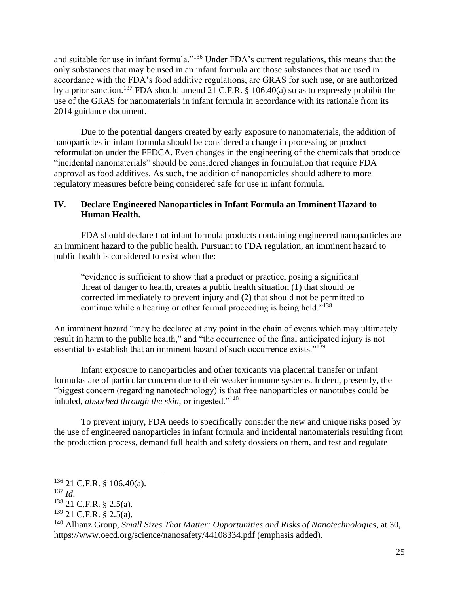and suitable for use in infant formula."<sup>136</sup> Under FDA's current regulations, this means that the only substances that may be used in an infant formula are those substances that are used in accordance with the FDA's food additive regulations, are GRAS for such use, or are authorized by a prior sanction.<sup>137</sup> FDA should amend 21 C.F.R.  $\S$  106.40(a) so as to expressly prohibit the use of the GRAS for nanomaterials in infant formula in accordance with its rationale from its 2014 guidance document.

Due to the potential dangers created by early exposure to nanomaterials, the addition of nanoparticles in infant formula should be considered a change in processing or product reformulation under the FFDCA. Even changes in the engineering of the chemicals that produce "incidental nanomaterials" should be considered changes in formulation that require FDA approval as food additives. As such, the addition of nanoparticles should adhere to more regulatory measures before being considered safe for use in infant formula.

### **IV**. **Declare Engineered Nanoparticles in Infant Formula an Imminent Hazard to Human Health.**

FDA should declare that infant formula products containing engineered nanoparticles are an imminent hazard to the public health. Pursuant to FDA regulation, an imminent hazard to public health is considered to exist when the:

"evidence is sufficient to show that a product or practice, posing a significant threat of danger to health, creates a public health situation (1) that should be corrected immediately to prevent injury and (2) that should not be permitted to continue while a hearing or other formal proceeding is being held."<sup>138</sup>

An imminent hazard "may be declared at any point in the chain of events which may ultimately result in harm to the public health," and "the occurrence of the final anticipated injury is not essential to establish that an imminent hazard of such occurrence exists."<sup>139</sup>

Infant exposure to nanoparticles and other toxicants via placental transfer or infant formulas are of particular concern due to their weaker immune systems. Indeed, presently, the "biggest concern (regarding nanotechnology) is that free nanoparticles or nanotubes could be inhaled, *absorbed through the skin*, or ingested."<sup>140</sup>

To prevent injury, FDA needs to specifically consider the new and unique risks posed by the use of engineered nanoparticles in infant formula and incidental nanomaterials resulting from the production process, demand full health and safety dossiers on them, and test and regulate

 $136$  21 C.F.R. § 106.40(a).

 $^{137}$  *Id.* 

<sup>138</sup> 21 C.F.R. § 2.5(a).

 $139$  21 C.F.R. § 2.5(a).

<sup>140</sup> Allianz Group, *Small Sizes That Matter: Opportunities and Risks of Nanotechnologies*, at 30, https://www.oecd.org/science/nanosafety/44108334.pdf (emphasis added).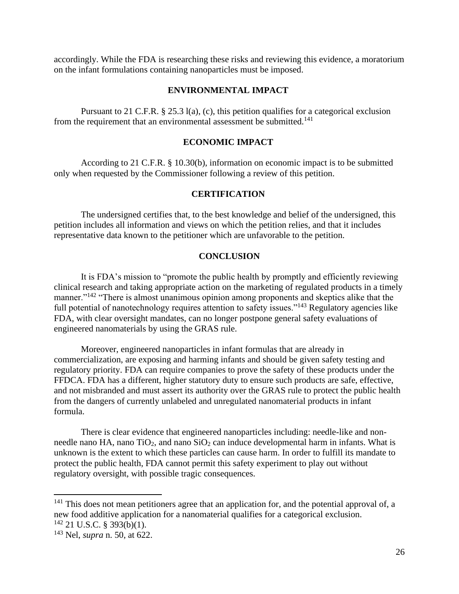accordingly. While the FDA is researching these risks and reviewing this evidence, a moratorium on the infant formulations containing nanoparticles must be imposed.

#### **ENVIRONMENTAL IMPACT**

Pursuant to 21 C.F.R. § 25.3 l(a), (c), this petition qualifies for a categorical exclusion from the requirement that an environmental assessment be submitted.<sup>141</sup>

### **ECONOMIC IMPACT**

According to 21 C.F.R. § 10.30(b), information on economic impact is to be submitted only when requested by the Commissioner following a review of this petition.

### **CERTIFICATION**

The undersigned certifies that, to the best knowledge and belief of the undersigned, this petition includes all information and views on which the petition relies, and that it includes representative data known to the petitioner which are unfavorable to the petition.

#### **CONCLUSION**

It is FDA's mission to "promote the public health by promptly and efficiently reviewing clinical research and taking appropriate action on the marketing of regulated products in a timely manner."<sup>142</sup> "There is almost unanimous opinion among proponents and skeptics alike that the full potential of nanotechnology requires attention to safety issues."<sup>143</sup> Regulatory agencies like FDA, with clear oversight mandates, can no longer postpone general safety evaluations of engineered nanomaterials by using the GRAS rule.

Moreover, engineered nanoparticles in infant formulas that are already in commercialization, are exposing and harming infants and should be given safety testing and regulatory priority. FDA can require companies to prove the safety of these products under the FFDCA. FDA has a different, higher statutory duty to ensure such products are safe, effective, and not misbranded and must assert its authority over the GRAS rule to protect the public health from the dangers of currently unlabeled and unregulated nanomaterial products in infant formula.

There is clear evidence that engineered nanoparticles including: needle-like and nonneedle nano HA, nano  $TiO<sub>2</sub>$ , and nano  $SiO<sub>2</sub>$  can induce developmental harm in infants. What is unknown is the extent to which these particles can cause harm. In order to fulfill its mandate to protect the public health, FDA cannot permit this safety experiment to play out without regulatory oversight, with possible tragic consequences.

<sup>&</sup>lt;sup>141</sup> This does not mean petitioners agree that an application for, and the potential approval of, a new food additive application for a nanomaterial qualifies for a categorical exclusion.  $142$  21 U.S.C. § 393(b)(1).

<sup>143</sup> Nel, *supra* n. 50, at 622.